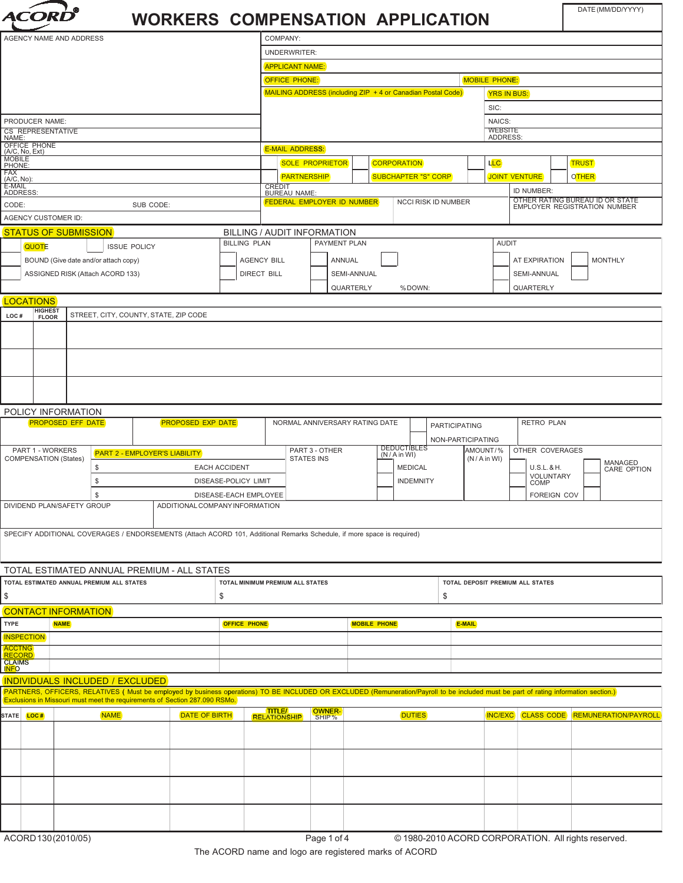| t <i>t dri</i><br>A |
|---------------------|
|                     |

## **WORKERS COMPENSATION APPLICATION**

DATE (MM/DD/YYYY)

|                                |                         |                              |                                           |                                       | <u> IVUNNLINJ CUMFLIVJATIVN AFFLICATIVN</u>                                                                            |                                  |                                    |                                                                                   |                   |                                |                  |                      |                             |                                                         |                   |  |                                                                                                                                                                                      |
|--------------------------------|-------------------------|------------------------------|-------------------------------------------|---------------------------------------|------------------------------------------------------------------------------------------------------------------------|----------------------------------|------------------------------------|-----------------------------------------------------------------------------------|-------------------|--------------------------------|------------------|----------------------|-----------------------------|---------------------------------------------------------|-------------------|--|--------------------------------------------------------------------------------------------------------------------------------------------------------------------------------------|
| AGENCY NAME AND ADDRESS        |                         |                              |                                           |                                       | COMPANY:                                                                                                               |                                  |                                    |                                                                                   |                   |                                |                  |                      |                             |                                                         |                   |  |                                                                                                                                                                                      |
|                                |                         |                              |                                           |                                       |                                                                                                                        |                                  | <b>UNDERWRITER:</b>                |                                                                                   |                   |                                |                  |                      |                             |                                                         |                   |  |                                                                                                                                                                                      |
|                                |                         |                              |                                           |                                       |                                                                                                                        |                                  | <b>APPLICANT NAME:</b>             |                                                                                   |                   |                                |                  |                      |                             |                                                         |                   |  |                                                                                                                                                                                      |
|                                |                         |                              |                                           |                                       |                                                                                                                        |                                  |                                    | <b>OFFICE PHONE:</b><br><b>MOBILE PHONE:</b>                                      |                   |                                |                  |                      |                             |                                                         |                   |  |                                                                                                                                                                                      |
|                                |                         |                              |                                           |                                       |                                                                                                                        |                                  |                                    | MAILING ADDRESS (including ZIP + 4 or Canadian Postal Code)<br><b>YRS IN BUS:</b> |                   |                                |                  |                      |                             |                                                         |                   |  |                                                                                                                                                                                      |
|                                |                         |                              |                                           |                                       |                                                                                                                        |                                  |                                    |                                                                                   |                   |                                |                  |                      |                             | SIC:                                                    |                   |  |                                                                                                                                                                                      |
|                                | PRODUCER NAME:          |                              |                                           |                                       |                                                                                                                        |                                  |                                    |                                                                                   |                   |                                |                  |                      | NAICS:                      |                                                         |                   |  |                                                                                                                                                                                      |
| NAME:                          | CS REPRESENTATIVE       |                              |                                           |                                       |                                                                                                                        |                                  |                                    |                                                                                   |                   |                                |                  |                      |                             | <b>WEBSITE</b><br><b>ADDRESS</b>                        |                   |  |                                                                                                                                                                                      |
| OFFICE PHONE<br>(A/C, No, Ext) |                         |                              |                                           |                                       | <b>E-MAIL ADDRESS:</b>                                                                                                 |                                  |                                    |                                                                                   |                   |                                |                  |                      |                             |                                                         |                   |  |                                                                                                                                                                                      |
|                                | <b>MOBILE</b><br>PHONE: |                              |                                           |                                       | <b>SOLE PROPRIETOR</b><br><b>CORPORATION</b>                                                                           |                                  |                                    |                                                                                   |                   | LLC                            |                  |                      | <b>TRUST</b>                |                                                         |                   |  |                                                                                                                                                                                      |
| FAX<br>(A/C, No)               |                         |                              |                                           |                                       | <b>PARTNERSHIP</b>                                                                                                     |                                  |                                    | <b>SUBCHAPTER "S" CORP</b>                                                        |                   |                                |                  | <b>JOINT VENTURE</b> |                             | <b>OTHER</b>                                            |                   |  |                                                                                                                                                                                      |
| E-MAIL<br>ADDRESS:             |                         |                              |                                           |                                       |                                                                                                                        |                                  | CREDIT<br><b>BUREAU NAME:</b>      |                                                                                   |                   |                                |                  |                      |                             | ID NUMBER:                                              |                   |  |                                                                                                                                                                                      |
| CODE:                          |                         |                              |                                           | SUB CODE:                             |                                                                                                                        |                                  | FEDERAL EMPLOYER ID NUMBER         |                                                                                   |                   |                                |                  |                      | NCCI RISK ID NUMBER         |                                                         |                   |  | OTHER RATING BUREAU ID OR STATE EMPLOYER REGISTRATION NUMBER                                                                                                                         |
|                                |                         | AGENCY CUSTOMER ID:          |                                           |                                       |                                                                                                                        |                                  |                                    |                                                                                   |                   |                                |                  |                      |                             |                                                         |                   |  |                                                                                                                                                                                      |
|                                |                         | <b>STATUS OF SUBMISSION</b>  |                                           |                                       |                                                                                                                        |                                  | <b>BILLING / AUDIT INFORMATION</b> |                                                                                   |                   |                                |                  |                      |                             |                                                         |                   |  |                                                                                                                                                                                      |
|                                | <b>QUOTE</b>            |                              |                                           | <b>ISSUE POLICY</b>                   |                                                                                                                        | <b>BILLING PLAN</b>              |                                    |                                                                                   | PAYMENT PLAN      |                                |                  |                      |                             | <b>AUDIT</b>                                            |                   |  |                                                                                                                                                                                      |
|                                |                         |                              | BOUND (Give date and/or attach copy)      |                                       |                                                                                                                        |                                  | <b>AGENCY BILL</b>                 |                                                                                   | ANNUAL            |                                |                  |                      |                             |                                                         | AT EXPIRATION     |  | <b>MONTHLY</b>                                                                                                                                                                       |
|                                |                         |                              | ASSIGNED RISK (Attach ACORD 133)          |                                       |                                                                                                                        |                                  | <b>DIRECT BILL</b>                 |                                                                                   |                   | SEMI-ANNUAL                    |                  |                      |                             |                                                         | SEMI-ANNUAL       |  |                                                                                                                                                                                      |
|                                |                         |                              |                                           |                                       |                                                                                                                        |                                  |                                    | QUARTERLY<br>%DOWN:                                                               |                   |                                |                  |                      | QUARTERLY                   |                                                         |                   |  |                                                                                                                                                                                      |
|                                | <b>LOCATIONS</b>        |                              |                                           |                                       |                                                                                                                        |                                  |                                    |                                                                                   |                   |                                |                  |                      |                             |                                                         |                   |  |                                                                                                                                                                                      |
| LOC#                           | HIGHEST<br>FLOOR        |                              |                                           | STREET, CITY, COUNTY, STATE, ZIP CODE |                                                                                                                        |                                  |                                    |                                                                                   |                   |                                |                  |                      |                             |                                                         |                   |  |                                                                                                                                                                                      |
|                                |                         |                              |                                           |                                       |                                                                                                                        |                                  |                                    |                                                                                   |                   |                                |                  |                      |                             |                                                         |                   |  |                                                                                                                                                                                      |
|                                |                         |                              |                                           |                                       |                                                                                                                        |                                  |                                    |                                                                                   |                   |                                |                  |                      |                             |                                                         |                   |  |                                                                                                                                                                                      |
|                                |                         |                              |                                           |                                       |                                                                                                                        |                                  |                                    |                                                                                   |                   |                                |                  |                      |                             |                                                         |                   |  |                                                                                                                                                                                      |
|                                |                         |                              |                                           |                                       |                                                                                                                        |                                  |                                    |                                                                                   |                   |                                |                  |                      |                             |                                                         |                   |  |                                                                                                                                                                                      |
|                                |                         |                              |                                           |                                       |                                                                                                                        |                                  |                                    |                                                                                   |                   |                                |                  |                      |                             |                                                         |                   |  |                                                                                                                                                                                      |
|                                |                         |                              |                                           |                                       |                                                                                                                        |                                  |                                    |                                                                                   |                   |                                |                  |                      |                             |                                                         |                   |  |                                                                                                                                                                                      |
|                                |                         | POLICY INFORMATION           |                                           |                                       |                                                                                                                        |                                  |                                    |                                                                                   |                   |                                |                  |                      |                             |                                                         |                   |  |                                                                                                                                                                                      |
|                                |                         | <b>PROPOSED EFF DATE</b>     |                                           |                                       | <b>PROPOSED EXP DATE</b>                                                                                               |                                  |                                    |                                                                                   |                   | NORMAL ANNIVERSARY RATING DATE |                  |                      | <b>PARTICIPATING</b>        |                                                         | <b>RETRO PLAN</b> |  |                                                                                                                                                                                      |
|                                |                         |                              |                                           |                                       |                                                                                                                        |                                  |                                    |                                                                                   |                   |                                |                  |                      | NON-PARTICIPATING           |                                                         |                   |  |                                                                                                                                                                                      |
|                                | PART 1 - WORKERS        |                              |                                           | <b>PART 2 - EMPLOYER'S LIABILITY</b>  |                                                                                                                        |                                  |                                    | <b>DEDUCTIBLES</b><br>PART 3 - OTHER<br>(N / A in WI)                             |                   |                                |                  |                      | AMOUNT/%<br>OTHER COVERAGES |                                                         |                   |  |                                                                                                                                                                                      |
|                                |                         | <b>COMPENSATION (States)</b> | \$                                        |                                       |                                                                                                                        | <b>EACH ACCIDENT</b>             |                                    | <b>STATES INS</b>                                                                 |                   |                                | <b>MEDICAL</b>   |                      |                             | (N / A in Wl)<br>MANAGED<br>CARE OPTION<br>$U.S.L.$ &H. |                   |  |                                                                                                                                                                                      |
|                                |                         |                              | \$                                        |                                       |                                                                                                                        | DISEASE-POLICY LIMIT             |                                    |                                                                                   |                   |                                | <b>INDEMNITY</b> |                      |                             | VOLUNTARY<br>COMP                                       |                   |  |                                                                                                                                                                                      |
|                                |                         |                              | $\$$                                      |                                       |                                                                                                                        | DISEASE-EACH EMPLOYEE            |                                    |                                                                                   |                   |                                |                  |                      |                             | FOREIGN COV                                             |                   |  |                                                                                                                                                                                      |
|                                |                         | DIVIDEND PLAN/SAFETY GROUP   |                                           |                                       | ADDITIONAL COMPANY INFORMATION                                                                                         |                                  |                                    |                                                                                   |                   |                                |                  |                      |                             |                                                         |                   |  |                                                                                                                                                                                      |
|                                |                         |                              |                                           |                                       |                                                                                                                        |                                  |                                    |                                                                                   |                   |                                |                  |                      |                             |                                                         |                   |  |                                                                                                                                                                                      |
|                                |                         |                              |                                           |                                       | SPECIFY ADDITIONAL COVERAGES / ENDORSEMENTS (Attach ACORD 101, Additional Remarks Schedule, if more space is required) |                                  |                                    |                                                                                   |                   |                                |                  |                      |                             |                                                         |                   |  |                                                                                                                                                                                      |
|                                |                         |                              |                                           |                                       |                                                                                                                        |                                  |                                    |                                                                                   |                   |                                |                  |                      |                             |                                                         |                   |  |                                                                                                                                                                                      |
|                                |                         |                              |                                           |                                       |                                                                                                                        |                                  |                                    |                                                                                   |                   |                                |                  |                      |                             |                                                         |                   |  |                                                                                                                                                                                      |
|                                |                         |                              |                                           |                                       | TOTAL ESTIMATED ANNUAL PREMIUM - ALL STATES                                                                            |                                  |                                    | TOTAL DEPOSIT PREMIUM ALL STATES                                                  |                   |                                |                  |                      |                             |                                                         |                   |  |                                                                                                                                                                                      |
|                                |                         |                              | TOTAL ESTIMATED ANNUAL PREMIUM ALL STATES |                                       |                                                                                                                        | TOTAL MINIMUM PREMIUM ALL STATES |                                    |                                                                                   |                   |                                |                  |                      |                             |                                                         |                   |  |                                                                                                                                                                                      |
| \$                             |                         |                              |                                           |                                       |                                                                                                                        | \$                               |                                    |                                                                                   |                   |                                |                  |                      | \$                          |                                                         |                   |  |                                                                                                                                                                                      |
|                                |                         | <b>CONTACT INFORMATION</b>   |                                           |                                       |                                                                                                                        |                                  |                                    |                                                                                   |                   |                                |                  |                      |                             |                                                         |                   |  |                                                                                                                                                                                      |
| <b>TYPE</b>                    |                         | <b>NAME</b>                  |                                           |                                       |                                                                                                                        | <b>OFFICE PHONE</b>              |                                    |                                                                                   |                   | <b>MOBILE PHONE</b>            |                  |                      | <b>E-MAIL</b>               |                                                         |                   |  |                                                                                                                                                                                      |
|                                | <b>INSPECTION</b>       |                              |                                           |                                       |                                                                                                                        |                                  |                                    |                                                                                   |                   |                                |                  |                      |                             |                                                         |                   |  |                                                                                                                                                                                      |
| <b>ACCTNG</b><br><b>RECORD</b> |                         |                              |                                           |                                       |                                                                                                                        |                                  |                                    |                                                                                   |                   |                                |                  |                      |                             |                                                         |                   |  |                                                                                                                                                                                      |
| <b>CLAIMS</b><br><b>INFO</b>   |                         |                              |                                           |                                       |                                                                                                                        |                                  |                                    |                                                                                   |                   |                                |                  |                      |                             |                                                         |                   |  |                                                                                                                                                                                      |
|                                |                         |                              | <b>INDIVIDUALS INCLUDED / EXCLUDED</b>    |                                       |                                                                                                                        |                                  |                                    |                                                                                   |                   |                                |                  |                      |                             |                                                         |                   |  |                                                                                                                                                                                      |
|                                |                         |                              |                                           |                                       | Exclusions in Missouri must meet the requirements of Section 287.090 RSMo.                                             |                                  |                                    |                                                                                   |                   |                                |                  |                      |                             |                                                         |                   |  | PARTNERS, OFFICERS, RELATIVES (Must be employed by business operations) TO BE INCLUDED OR EXCLUDED (Remuneration/Payroll to be included must be part of rating information section.) |
|                                | STATE <b>LOC#</b>       |                              | <b>NAME</b>                               |                                       | <b>DATE OF BIRTH</b>                                                                                                   |                                  | <b>TITLE/</b>                      |                                                                                   | OWNER-            |                                | <b>DUTIES</b>    |                      |                             | <b>INC/EXC</b>                                          | <b>CLASS CODE</b> |  | <b>REMUNERATION/PAYROLL</b>                                                                                                                                                          |
|                                |                         |                              |                                           |                                       |                                                                                                                        |                                  | <b>RELATIONSHIP</b>                |                                                                                   | SHIP <sup>%</sup> |                                |                  |                      |                             |                                                         |                   |  |                                                                                                                                                                                      |
|                                |                         |                              |                                           |                                       |                                                                                                                        |                                  |                                    |                                                                                   |                   |                                |                  |                      |                             |                                                         |                   |  |                                                                                                                                                                                      |
|                                |                         |                              |                                           |                                       |                                                                                                                        |                                  |                                    |                                                                                   |                   |                                |                  |                      |                             |                                                         |                   |  |                                                                                                                                                                                      |
|                                |                         |                              |                                           |                                       |                                                                                                                        |                                  |                                    |                                                                                   |                   |                                |                  |                      |                             |                                                         |                   |  |                                                                                                                                                                                      |
|                                |                         |                              |                                           |                                       |                                                                                                                        |                                  |                                    |                                                                                   |                   |                                |                  |                      |                             |                                                         |                   |  |                                                                                                                                                                                      |
|                                |                         |                              |                                           |                                       |                                                                                                                        |                                  |                                    |                                                                                   |                   |                                |                  |                      |                             |                                                         |                   |  |                                                                                                                                                                                      |
|                                |                         |                              |                                           |                                       |                                                                                                                        |                                  |                                    |                                                                                   |                   |                                |                  |                      |                             |                                                         |                   |  |                                                                                                                                                                                      |
|                                |                         |                              |                                           |                                       |                                                                                                                        |                                  |                                    |                                                                                   |                   |                                |                  |                      |                             |                                                         |                   |  |                                                                                                                                                                                      |
|                                |                         |                              |                                           |                                       |                                                                                                                        |                                  |                                    |                                                                                   |                   |                                |                  |                      |                             |                                                         |                   |  |                                                                                                                                                                                      |
|                                |                         | ACORD 130 (2010/05)          |                                           |                                       |                                                                                                                        |                                  |                                    |                                                                                   | Page 1 of 4       |                                |                  |                      |                             |                                                         |                   |  | © 1980-2010 ACORD CORPORATION. All rights reserved.                                                                                                                                  |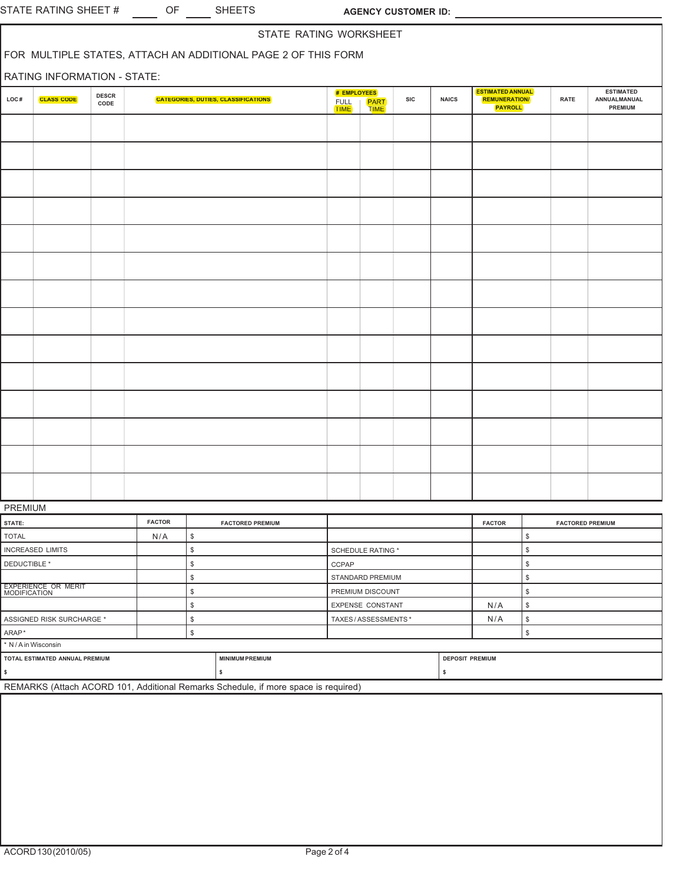| STATE RATING WORKSHEET<br>FOR MULTIPLE STATES, ATTACH AN ADDITIONAL PAGE 2 OF THIS FORM |                                     |                      |               |              |                                            |                             |                            |            |                        |                                                                   |                |                         |                                                    |
|-----------------------------------------------------------------------------------------|-------------------------------------|----------------------|---------------|--------------|--------------------------------------------|-----------------------------|----------------------------|------------|------------------------|-------------------------------------------------------------------|----------------|-------------------------|----------------------------------------------------|
| RATING INFORMATION - STATE:                                                             |                                     |                      |               |              |                                            |                             |                            |            |                        |                                                                   |                |                         |                                                    |
| LOC#                                                                                    | <b>CLASS CODE</b>                   | <b>DESCR</b><br>CODE |               |              | <b>CATEGORIES, DUTIES, CLASSIFICATIONS</b> | # EMPLOYEES<br>FULL<br>TIME | <b>PART</b><br><b>TIME</b> | <b>SIC</b> | <b>NAICS</b>           | <b>ESTIMATED ANNUAL</b><br><b>REMUNERATION/</b><br><b>PAYROLL</b> |                | <b>RATE</b>             | <b>ESTIMATED</b><br>ANNUALMANUAL<br><b>PREMIUM</b> |
|                                                                                         |                                     |                      |               |              |                                            |                             |                            |            |                        |                                                                   |                |                         |                                                    |
|                                                                                         |                                     |                      |               |              |                                            |                             |                            |            |                        |                                                                   |                |                         |                                                    |
|                                                                                         |                                     |                      |               |              |                                            |                             |                            |            |                        |                                                                   |                |                         |                                                    |
|                                                                                         |                                     |                      |               |              |                                            |                             |                            |            |                        |                                                                   |                |                         |                                                    |
|                                                                                         |                                     |                      |               |              |                                            |                             |                            |            |                        |                                                                   |                |                         |                                                    |
|                                                                                         |                                     |                      |               |              |                                            |                             |                            |            |                        |                                                                   |                |                         |                                                    |
|                                                                                         |                                     |                      |               |              |                                            |                             |                            |            |                        |                                                                   |                |                         |                                                    |
|                                                                                         |                                     |                      |               |              |                                            |                             |                            |            |                        |                                                                   |                |                         |                                                    |
|                                                                                         |                                     |                      |               |              |                                            |                             |                            |            |                        |                                                                   |                |                         |                                                    |
|                                                                                         |                                     |                      |               |              |                                            |                             |                            |            |                        |                                                                   |                |                         |                                                    |
|                                                                                         |                                     |                      |               |              |                                            |                             |                            |            |                        |                                                                   |                |                         |                                                    |
|                                                                                         |                                     |                      |               |              |                                            |                             |                            |            |                        |                                                                   |                |                         |                                                    |
|                                                                                         |                                     |                      |               |              |                                            |                             |                            |            |                        |                                                                   |                |                         |                                                    |
|                                                                                         |                                     |                      |               |              |                                            |                             |                            |            |                        |                                                                   |                |                         |                                                    |
| PREMIUM                                                                                 |                                     |                      |               |              |                                            |                             |                            |            |                        |                                                                   |                |                         |                                                    |
| STATE:                                                                                  |                                     |                      | <b>FACTOR</b> |              | <b>FACTORED PREMIUM</b>                    |                             |                            |            |                        | <b>FACTOR</b>                                                     |                | <b>FACTORED PREMIUM</b> |                                                    |
| <b>TOTAL</b>                                                                            |                                     |                      | N/A           | \$           |                                            |                             |                            |            |                        |                                                                   | \$             |                         |                                                    |
|                                                                                         | <b>INCREASED LIMITS</b>             |                      |               | $\mathbb S$  |                                            |                             | SCHEDULE RATING *          |            |                        |                                                                   | $$\mathbb{S}$$ |                         |                                                    |
| DEDUCTIBLE *                                                                            |                                     |                      |               | $\$$         |                                            | CCPAP                       |                            |            |                        |                                                                   | \$             |                         |                                                    |
|                                                                                         |                                     |                      |               | $\,$         |                                            |                             | STANDARD PREMIUM           |            |                        |                                                                   | $\$\,$         |                         |                                                    |
|                                                                                         | EXPERIENCE OR MERIT<br>MODIFICATION |                      |               | \$           | PREMIUM DISCOUNT                           |                             |                            |            |                        |                                                                   | $\$\,$         |                         |                                                    |
|                                                                                         |                                     |                      |               | \$           |                                            |                             | EXPENSE CONSTANT           |            |                        | N/A                                                               | $\$\,$         |                         |                                                    |
|                                                                                         | ASSIGNED RISK SURCHARGE *           |                      |               | $\mathbb{S}$ |                                            |                             | TAXES/ASSESSMENTS*         |            |                        | N/A                                                               | \$             |                         |                                                    |
| ARAP*                                                                                   |                                     |                      |               | \$           |                                            |                             |                            |            |                        |                                                                   | $\$\,$         |                         |                                                    |
| * N / A in Wisconsin                                                                    |                                     |                      |               |              |                                            |                             |                            |            |                        |                                                                   |                |                         |                                                    |
|                                                                                         | TOTAL ESTIMATED ANNUAL PREMIUM      |                      |               |              | <b>MINIMUM PREMIUM</b>                     |                             |                            |            | <b>DEPOSIT PREMIUM</b> |                                                                   |                |                         |                                                    |
| \$                                                                                      |                                     |                      |               |              | \$                                         |                             |                            |            | \$                     |                                                                   |                |                         |                                                    |

REMARKS (Attach ACORD 101, Additional Remarks Schedule, if more space is required)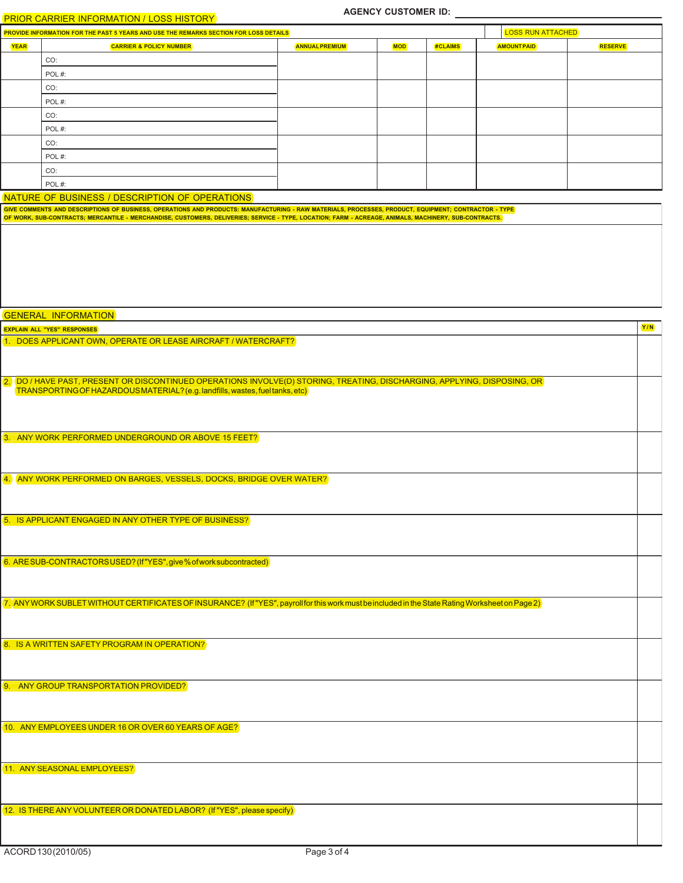## PRIOR CARRIER INFORMATION / LOSS HISTORY

| <b>PRIOR CARRIER INFORMATION / LOSS HISTORY</b> |                                                                                              |                       |            |         |                          |                |  |  |  |
|-------------------------------------------------|----------------------------------------------------------------------------------------------|-----------------------|------------|---------|--------------------------|----------------|--|--|--|
|                                                 | <b>PROVIDE INFORMATION FOR THE PAST 5 YEARS AND USE THE REMARKS SECTION FOR LOSS DETAILS</b> |                       |            |         | <b>LOSS RUN ATTACHED</b> |                |  |  |  |
| <b>YEAR</b>                                     | <b>CARRIER &amp; POLICY NUMBER</b>                                                           | <b>ANNUAL PREMIUM</b> | <b>MOD</b> | #CLAIMS | <b>AMOUNTPAID</b>        | <b>RESERVE</b> |  |  |  |
|                                                 | CO:                                                                                          |                       |            |         |                          |                |  |  |  |
|                                                 | POL#:                                                                                        |                       |            |         |                          |                |  |  |  |
|                                                 | CO:                                                                                          |                       |            |         |                          |                |  |  |  |
|                                                 | POL#:                                                                                        |                       |            |         |                          |                |  |  |  |
|                                                 | CO:                                                                                          |                       |            |         |                          |                |  |  |  |
|                                                 | POL#:                                                                                        |                       |            |         |                          |                |  |  |  |
|                                                 | CO:                                                                                          |                       |            |         |                          |                |  |  |  |
|                                                 | POL#:                                                                                        |                       |            |         |                          |                |  |  |  |
|                                                 | CO:                                                                                          |                       |            |         |                          |                |  |  |  |
|                                                 | POL#:                                                                                        |                       |            |         |                          |                |  |  |  |

NATURE OF BUSINESS / DESCRIPTION OF OPERATIONS

| NATURE OF BUSINESS / DESCRIPTION OF OPERATIONS                                                                                                                                                            |     |
|-----------------------------------------------------------------------------------------------------------------------------------------------------------------------------------------------------------|-----|
| GIVE COMMENTS AND DESCRIPTIONS OF BUSINESS, OPERATIONS AND PRODUCTS: MANUFACTURING - RAW MATERIALS, PROCESSES, PRODUCT, EQUIPMENT; CONTRACTOR - TYPE                                                      |     |
| OF WORK, SUB-CONTRACTS; MERCANTILE - MERCHANDISE, CUSTOMERS, DELIVERIES; SERVICE - TYPE, LOCATION; FARM - ACREAGE, ANIMALS, MACHINERY, SUB-CONTRACTS.                                                     |     |
|                                                                                                                                                                                                           |     |
|                                                                                                                                                                                                           |     |
|                                                                                                                                                                                                           |     |
|                                                                                                                                                                                                           |     |
|                                                                                                                                                                                                           |     |
|                                                                                                                                                                                                           |     |
|                                                                                                                                                                                                           |     |
|                                                                                                                                                                                                           |     |
| <b>GENERAL INFORMATION</b>                                                                                                                                                                                |     |
| <b>EXPLAIN ALL "YES" RESPONSES</b>                                                                                                                                                                        | Y/N |
| 1. DOES APPLICANT OWN, OPERATE OR LEASE AIRCRAFT / WATERCRAFT?                                                                                                                                            |     |
|                                                                                                                                                                                                           |     |
|                                                                                                                                                                                                           |     |
|                                                                                                                                                                                                           |     |
| 2. DO / HAVE PAST, PRESENT OR DISCONTINUED OPERATIONS INVOLVE(D) STORING, TREATING, DISCHARGING, APPLYING, DISPOSING, OR<br>[TRANSPORTINGOF HAZARDOUS MATERIAL? (e.g. landfills, wastes, fuel tanks, etc) |     |
|                                                                                                                                                                                                           |     |
|                                                                                                                                                                                                           |     |
|                                                                                                                                                                                                           |     |
|                                                                                                                                                                                                           |     |
| 3. ANY WORK PERFORMED UNDERGROUND OR ABOVE 15 FEET?                                                                                                                                                       |     |
|                                                                                                                                                                                                           |     |
|                                                                                                                                                                                                           |     |
| 4. ANY WORK PERFORMED ON BARGES, VESSELS, DOCKS, BRIDGE OVER WATER?                                                                                                                                       |     |
|                                                                                                                                                                                                           |     |
|                                                                                                                                                                                                           |     |
|                                                                                                                                                                                                           |     |
| 5. IS APPLICANT ENGAGED IN ANY OTHER TYPE OF BUSINESS?                                                                                                                                                    |     |
|                                                                                                                                                                                                           |     |
|                                                                                                                                                                                                           |     |
|                                                                                                                                                                                                           |     |
| 6. ARESUB-CONTRACTORSUSED? (If"YES", give % of work subcontracted)                                                                                                                                        |     |
|                                                                                                                                                                                                           |     |
|                                                                                                                                                                                                           |     |
|                                                                                                                                                                                                           |     |
| 7. ANY WORK SUBLET WITHOUT CERTIFICATES OF INSURANCE? (If "YES", payroll for this work must be included in the State Rating Worksheet on Page 2)                                                          |     |
|                                                                                                                                                                                                           |     |
|                                                                                                                                                                                                           |     |
| 8. IS A WRITTEN SAFETY PROGRAM IN OPERATION?                                                                                                                                                              |     |
|                                                                                                                                                                                                           |     |
|                                                                                                                                                                                                           |     |
|                                                                                                                                                                                                           |     |
| 9. ANY GROUP TRANSPORTATION PROVIDED?                                                                                                                                                                     |     |
|                                                                                                                                                                                                           |     |
|                                                                                                                                                                                                           |     |
|                                                                                                                                                                                                           |     |
| 10. ANY EMPLOYEES UNDER 16 OR OVER 60 YEARS OF AGE?                                                                                                                                                       |     |
|                                                                                                                                                                                                           |     |
|                                                                                                                                                                                                           |     |
|                                                                                                                                                                                                           |     |
| 11. ANY SEASONAL EMPLOYEES?                                                                                                                                                                               |     |
|                                                                                                                                                                                                           |     |
|                                                                                                                                                                                                           |     |
| 12. IS THERE ANY VOLUNTEER OR DONATED LABOR? (If "YES", please specify)                                                                                                                                   |     |
|                                                                                                                                                                                                           |     |
|                                                                                                                                                                                                           |     |